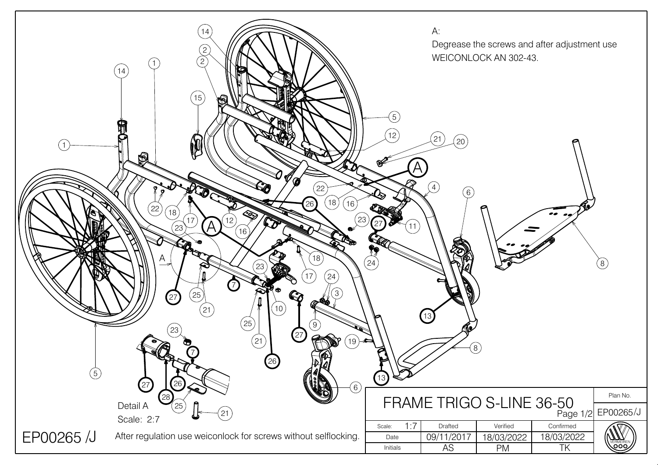